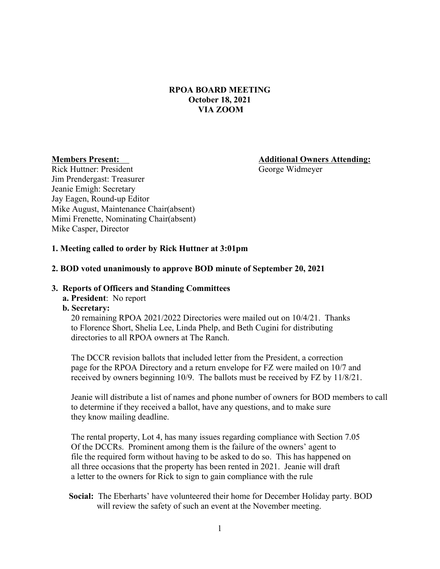# **RPOA BOARD MEETING October 18, 2021 VIA ZOOM**

**Members Present: Additional Owners Attending:**

Rick Huttner: President George Widmeyer Jim Prendergast: Treasurer Jeanie Emigh: Secretary Jay Eagen, Round-up Editor Mike August, Maintenance Chair(absent) Mimi Frenette, Nominating Chair(absent) Mike Casper, Director

# **1. Meeting called to order by Rick Huttner at 3:01pm**

### **2. BOD voted unanimously to approve BOD minute of September 20, 2021**

#### **3. Reports of Officers and Standing Committees**

## **a. President**: No report

## **b. Secretary:**

20 remaining RPOA 2021/2022 Directories were mailed out on 10/4/21. Thanks to Florence Short, Shelia Lee, Linda Phelp, and Beth Cugini for distributing directories to all RPOA owners at The Ranch.

 The DCCR revision ballots that included letter from the President, a correction page for the RPOA Directory and a return envelope for FZ were mailed on 10/7 and received by owners beginning 10/9. The ballots must be received by FZ by 11/8/21.

Jeanie will distribute a list of names and phone number of owners for BOD members to call to determine if they received a ballot, have any questions, and to make sure they know mailing deadline.

 The rental property, Lot 4, has many issues regarding compliance with Section 7.05 Of the DCCRs. Prominent among them is the failure of the owners' agent to file the required form without having to be asked to do so. This has happened on all three occasions that the property has been rented in 2021. Jeanie will draft a letter to the owners for Rick to sign to gain compliance with the rule

# **Social:** The Eberharts' have volunteered their home for December Holiday party. BOD will review the safety of such an event at the November meeting.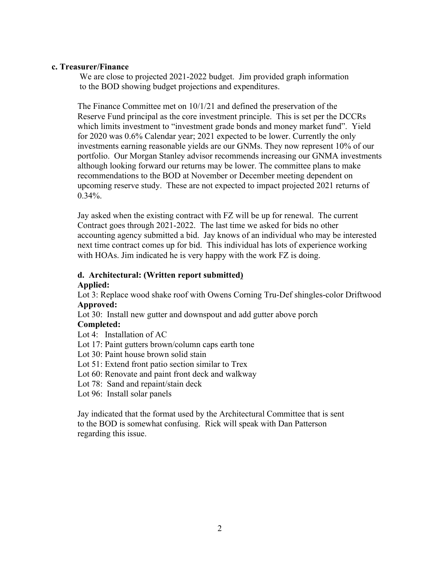### **c. Treasurer/Finance**

We are close to projected 2021-2022 budget. Jim provided graph information to the BOD showing budget projections and expenditures.

The Finance Committee met on 10/1/21 and defined the preservation of the Reserve Fund principal as the core investment principle. This is set per the DCCRs which limits investment to "investment grade bonds and money market fund". Yield for 2020 was 0.6% Calendar year; 2021 expected to be lower. Currently the only investments earning reasonable yields are our GNMs. They now represent 10% of our portfolio. Our Morgan Stanley advisor recommends increasing our GNMA investments although looking forward our returns may be lower. The committee plans to make recommendations to the BOD at November or December meeting dependent on upcoming reserve study. These are not expected to impact projected 2021 returns of  $0.34\%$ 

Jay asked when the existing contract with FZ will be up for renewal. The current Contract goes through 2021-2022. The last time we asked for bids no other accounting agency submitted a bid. Jay knows of an individual who may be interested next time contract comes up for bid. This individual has lots of experience working with HOAs. Jim indicated he is very happy with the work FZ is doing.

## **d. Architectural: (Written report submitted) Applied:**

Lot 3: Replace wood shake roof with Owens Corning Tru-Def shingles-color Driftwood **Approved:**

Lot 30: Install new gutter and downspout and add gutter above porch

## **Completed:**

- Lot 4: Installation of AC
- Lot 17: Paint gutters brown/column caps earth tone
- Lot 30: Paint house brown solid stain
- Lot 51: Extend front patio section similar to Trex
- Lot 60: Renovate and paint front deck and walkway
- Lot 78: Sand and repaint/stain deck
- Lot 96: Install solar panels

Jay indicated that the format used by the Architectural Committee that is sent to the BOD is somewhat confusing. Rick will speak with Dan Patterson regarding this issue.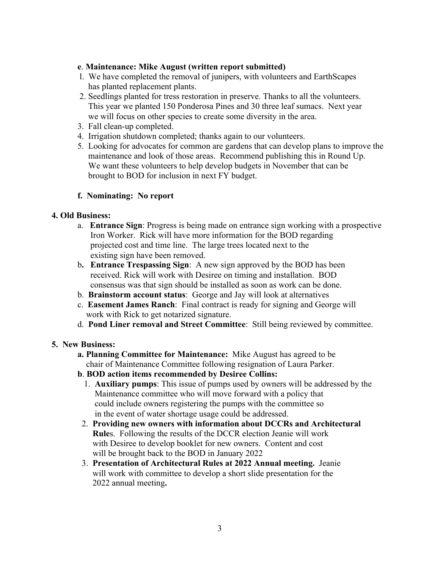## **e**. **Maintenance: Mike August (written report submitted)**

- l. We have completed the removal of junipers, with volunteers and EarthScapes has planted replacement plants.
- 2. Seedlings planted for tress restoration in preserve. Thanks to all the volunteers. This year we planted 150 Ponderosa Pines and 30 three leaf sumacs. Next year we will focus on other species to create some diversity in the area.
- 3. Fall clean-up completed.
- 4. Irrigation shutdown completed; thanks again to our volunteers.
- 5. Looking for advocates for common are gardens that can develop plans to improve the maintenance and look of those areas. Recommend publishing this in Round Up. We want these volunteers to help develop budgets in November that can be brought to BOD for inclusion in next FY budget.

# **f. Nominating: No report**

# **4. Old Business:**

- a. **Entrance Sign**: Progress is being made on entrance sign working with a prospective Iron Worker. Rick will have more information for the BOD regarding projected cost and time line. The large trees located next to the existing sign have been removed.
- b**. Entrance Trespassing Sign**: A new sign approved by the BOD has been received. Rick will work with Desiree on timing and installation. BOD consensus was that sign should be installed as soon as work can be done.
- b. **Brainstorm account status**: George and Jay will look at alternatives
- c. **Easement James Ranch**: Final contract is ready for signing and George will work with Rick to get notarized signature.
- d. **Pond Liner removal and Street Committee**: Still being reviewed by committee.

# **5. New Business:**

- **a. Planning Committee for Maintenance:** Mike August has agreed to be chair of Maintenance Committee following resignation of Laura Parker.
- **b**. **BOD action items recommended by Desiree Collins:** 
	- 1. **Auxiliary pumps**: This issue of pumps used by owners will be addressed by the Maintenance committee who will move forward with a policy that could include owners registering the pumps with the committee so in the event of water shortage usage could be addressed.
- 2. **Providing new owners with information about DCCRs and Architectural Rule**s. Following the results of the DCCR election Jeanie will work with Desiree to develop booklet for new owners. Content and cost will be brought back to the BOD in January 2022
- 3. **Presentation of Architectural Rules at 2022 Annual meeting.** Jeanie will work with committee to develop a short slide presentation for the 2022 annual meeting**.**